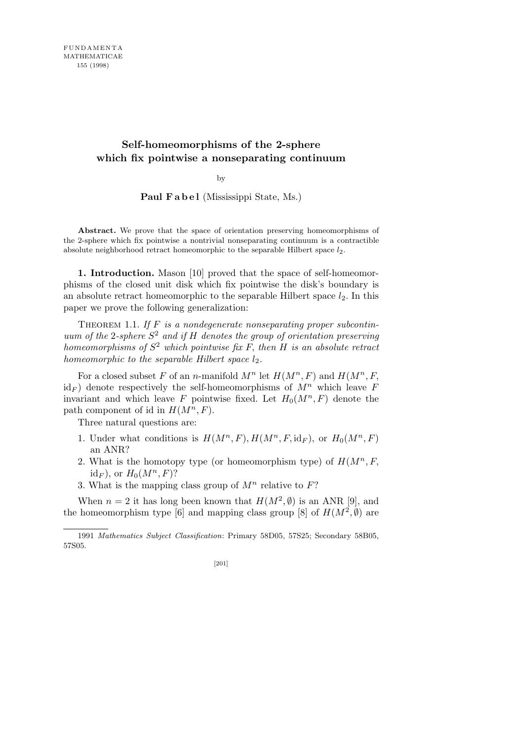# **Self-homeomorphisms of the 2-sphere which fix pointwise a nonseparating continuum**

by

Paul Fabel (Mississippi State, Ms.)

**Abstract.** We prove that the space of orientation preserving homeomorphisms of the 2-sphere which fix pointwise a nontrivial nonseparating continuum is a contractible absolute neighborhood retract homeomorphic to the separable Hilbert space  $l_2$ .

**1. Introduction.** Mason [10] proved that the space of self-homeomorphisms of the closed unit disk which fix pointwise the disk's boundary is an absolute retract homeomorphic to the separable Hilbert space  $l_2$ . In this paper we prove the following generalization:

THEOREM 1.1. If F is a nondegenerate nonseparating proper subcontin*uum of the* 2*-sphere S* 2 *and if H denotes the group of orientation preserving homeomorphisms of S* <sup>2</sup> *which pointwise fix F, then H is an absolute retract homeomorphic to the separable Hilbert space*  $l_2$ *.* 

For a closed subset F of an *n*-manifold  $M^n$  let  $H(M^n, F)$  and  $H(M^n, F)$  $id_F$  denote respectively the self-homeomorphisms of  $M^n$  which leave *F* invariant and which leave *F* pointwise fixed. Let  $H_0(M^n, F)$  denote the path component of id in  $H(M^n, F)$ .

Three natural questions are:

- 1. Under what conditions is  $H(M^n, F), H(M^n, F, id_F)$ , or  $H_0(M^n, F)$ an ANR?
- 2. What is the homotopy type (or homeomorphism type) of  $H(M^n, F)$  $id_F$ , or  $H_0(M^n, F)$ ?
- 3. What is the mapping class group of  $M^n$  relative to  $F$ ?

When  $n = 2$  it has long been known that  $H(M^2, \emptyset)$  is an ANR [9], and the homeomorphism type [6] and mapping class group [8] of  $H(M^2, \emptyset)$  are

<sup>1991</sup> *Mathematics Subject Classification*: Primary 58D05, 57S25; Secondary 58B05, 57S05.

<sup>[201]</sup>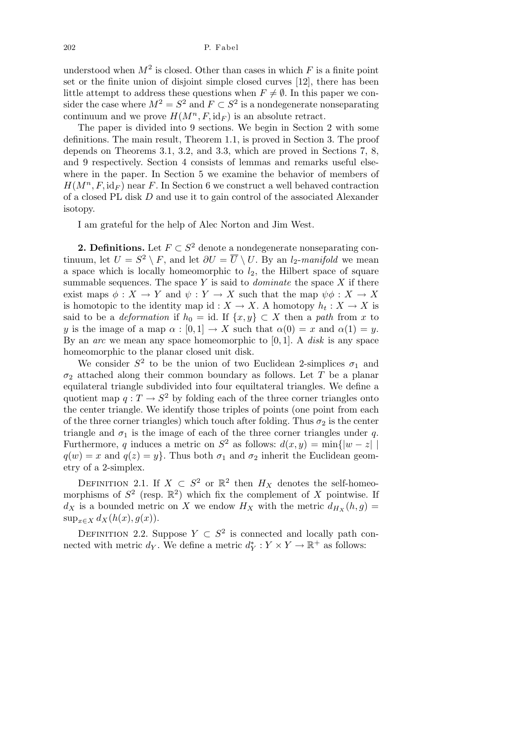understood when  $M^2$  is closed. Other than cases in which  $F$  is a finite point set or the finite union of disjoint simple closed curves [12], there has been little attempt to address these questions when  $F \neq \emptyset$ . In this paper we consider the case where  $M^2 = S^2$  and  $F \subset S^2$  is a nondegenerate nonseparating continuum and we prove  $H(M^n, F, id_F)$  is an absolute retract.

The paper is divided into 9 sections. We begin in Section 2 with some definitions. The main result, Theorem 1.1, is proved in Section 3. The proof depends on Theorems 3.1, 3.2, and 3.3, which are proved in Sections 7, 8, and 9 respectively. Section 4 consists of lemmas and remarks useful elsewhere in the paper. In Section 5 we examine the behavior of members of  $H(M^n, F, id_F)$  near *F*. In Section 6 we construct a well behaved contraction of a closed PL disk *D* and use it to gain control of the associated Alexander isotopy.

I am grateful for the help of Alec Norton and Jim West.

**2. Definitions.** Let  $F \subset S^2$  denote a nondegenerate nonseparating continuum, let  $U = S^2 \setminus F$ , and let  $\partial U = \overline{U} \setminus U$ . By an *l*<sub>2</sub>-*manifold* we mean a space which is locally homeomorphic to  $l_2$ , the Hilbert space of square summable sequences. The space *Y* is said to *dominate* the space *X* if there exist maps  $\phi: X \to Y$  and  $\psi: Y \to X$  such that the map  $\psi \phi: X \to X$ is homotopic to the identity map id :  $X \to X$ . A homotopy  $h_t : X \to X$  is said to be a *deformation* if  $h_0 = id$ . If  $\{x, y\} \subset X$  then a *path* from *x* to *y* is the image of a map  $\alpha$ :  $[0,1] \rightarrow X$  such that  $\alpha(0) = x$  and  $\alpha(1) = y$ . By an *arc* we mean any space homeomorphic to [0*,* 1]. A *disk* is any space homeomorphic to the planar closed unit disk.

We consider  $S^2$  to be the union of two Euclidean 2-simplices  $\sigma_1$  and *σ*<sup>2</sup> attached along their common boundary as follows. Let *T* be a planar equilateral triangle subdivided into four equiltateral triangles. We define a quotient map  $q: T \to S^2$  by folding each of the three corner triangles onto the center triangle. We identify those triples of points (one point from each of the three corner triangles) which touch after folding. Thus  $\sigma_2$  is the center triangle and  $\sigma_1$  is the image of each of the three corner triangles under  $q$ . Furthermore, *q* induces a metric on  $S^2$  as follows:  $d(x, y) = \min\{|w - z||$  $q(w) = x$  and  $q(z) = y$ . Thus both  $\sigma_1$  and  $\sigma_2$  inherit the Euclidean geometry of a 2-simplex.

DEFINITION 2.1. If  $X \subset S^2$  or  $\mathbb{R}^2$  then  $H_X$  denotes the self-homeomorphisms of  $S^2$  (resp.  $\mathbb{R}^2$ ) which fix the complement of *X* pointwise. If  $d_X$  is a bounded metric on X we endow  $H_X$  with the metric  $d_{H_X}(h,g)$ sup<sub>*x*∈</sub>*x*  $d_X(h(x), g(x))$ .

DEFINITION 2.2. Suppose  $Y \subset S^2$  is connected and locally path connected with metric  $d_Y$ . We define a metric  $d_Y^* : Y \times Y \to \mathbb{R}^+$  as follows: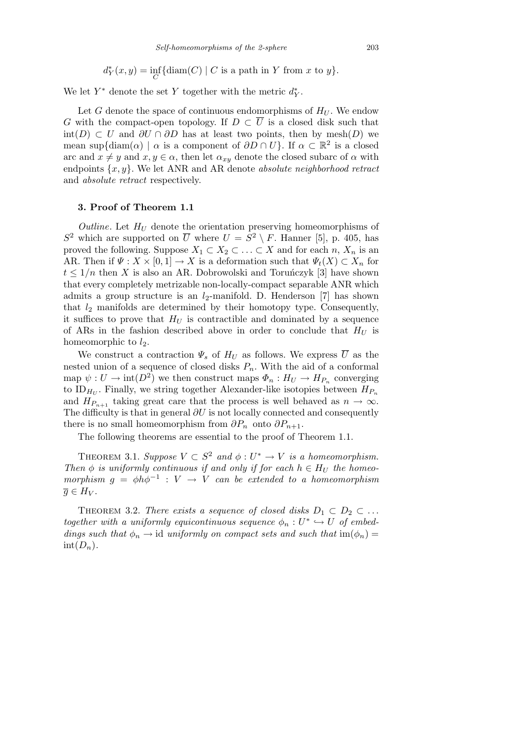$$
d_Y^*(x, y) = \inf_C \{ \operatorname{diam}(C) \mid C \text{ is a path in } Y \text{ from } x \text{ to } y \}.
$$

We let  $Y^*$  denote the set  $Y$  together with the metric  $d_Y^*$ .

Let *G* denote the space of continuous endomorphisms of  $H_U$ . We endow *G* with the compact-open topology. If  $D \subset \overline{U}$  is a closed disk such that int(*D*) *⊂ U* and *∂U ∩ ∂D* has at least two points, then by mesh(*D*) we mean sup{diam( $\alpha$ ) |  $\alpha$  is a component of  $\partial D \cap U$ }. If  $\alpha \subset \mathbb{R}^2$  is a closed arc and  $x \neq y$  and  $x, y \in \alpha$ , then let  $\alpha_{xy}$  denote the closed subarc of  $\alpha$  with endpoints *{x, y}*. We let ANR and AR denote *absolute neighborhood retract* and *absolute retract* respectively.

### **3. Proof of Theorem 1.1**

*Outline*. Let  $H_U$  denote the orientation preserving homeomorphisms of  $S^2$  which are supported on  $\overline{U}$  where  $U = S^2 \setminus F$ . Hanner [5], p. 405, has proved the following. Suppose  $X_1 \subset X_2 \subset \ldots \subset X$  and for each *n*,  $X_n$  is an AR. Then if  $\Psi : X \times [0,1] \to X$  is a deformation such that  $\Psi_t(X) \subset X_n$  for  $t \leq 1/n$  then *X* is also an AR. Dobrowolski and Torunczyk [3] have shown that every completely metrizable non-locally-compact separable ANR which admits a group structure is an  $l_2$ -manifold. D. Henderson [7] has shown that *l*<sup>2</sup> manifolds are determined by their homotopy type. Consequently, it suffices to prove that  $H_U$  is contractible and dominated by a sequence of ARs in the fashion described above in order to conclude that  $H_U$  is homeomorphic to  $l_2$ .

We construct a contraction  $\Psi_s$  of  $H_U$  as follows. We express  $\overline{U}$  as the nested union of a sequence of closed disks  $P_n$ . With the aid of a conformal map  $\psi: U \to \text{int}(D^2)$  we then construct maps  $\Phi_n: H_U \to H_{P_n}$  converging to  $ID_{H_U}$ . Finally, we string together Alexander-like isotopies between  $H_{P_n}$ and  $H_{P_{n+1}}$  taking great care that the process is well behaved as  $n \to \infty$ . The difficulty is that in general *∂U* is not locally connected and consequently there is no small homeomorphism from  $\partial P_n$  onto  $\partial P_{n+1}$ .

The following theorems are essential to the proof of Theorem 1.1.

THEOREM 3.1. *Suppose*  $V \subset S^2$  and  $\phi: U^* \to V$  *is a homeomorphism. Then*  $\phi$  *is uniformly continuous if and only if for each*  $h \in H_U$  *the homeomorphism*  $g = \phi h \phi^{-1}$  :  $V \rightarrow V$  *can be extended to a homeomorphism*  $\overline{g} \in H_V$ *.* 

THEOREM 3.2. *There exists a sequence of closed disks*  $D_1 \subset D_2 \subset \ldots$ *together with a uniformly equicontinuous sequence*  $\phi_n : U^* \hookrightarrow U$  *of embeddings such that*  $\phi_n \to \text{id}$  *uniformly on compact sets and such that*  $\text{im}(\phi_n) =$  $int(D_n)$ .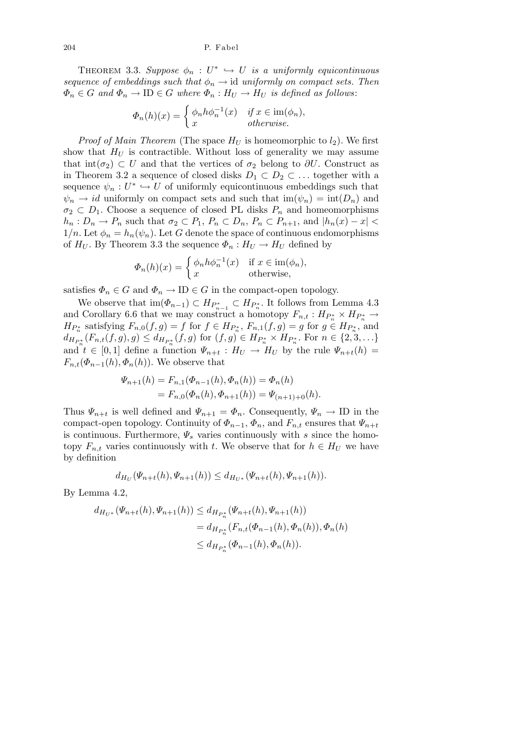THEOREM 3.3. *Suppose*  $\phi_n : U^* \hookrightarrow U$  *is a uniformly equicontinuous sequence of embeddings such that*  $\phi_n \to id$  *uniformly on compact sets. Then*  $\Phi_n \in G$  *and*  $\Phi_n \to \text{ID} \in G$  *where*  $\Phi_n : H_U \to H_U$  *is defined as follows*:

$$
\Phi_n(h)(x) = \begin{cases} \phi_n h \phi_n^{-1}(x) & \text{if } x \in \text{im}(\phi_n), \\ x & \text{otherwise.} \end{cases}
$$

*Proof of Main Theorem* (The space  $H_U$  is homeomorphic to  $l_2$ ). We first show that  $H_U$  is contractible. Without loss of generality we may assume that  $int(\sigma_2) \subset U$  and that the vertices of  $\sigma_2$  belong to  $\partial U$ . Construct as in Theorem 3.2 a sequence of closed disks  $D_1 \subset D_2 \subset \ldots$  together with a sequence  $\psi_n: U^* \hookrightarrow U$  of uniformly equicontinuous embeddings such that  $\psi_n \to id$  uniformly on compact sets and such that  $\text{im}(\psi_n) = \text{int}(D_n)$  and  $\sigma_2 \subset D_1$ . Choose a sequence of closed PL disks  $P_n$  and homeomorphisms  $h_n: D_n \to P_n$  such that  $\sigma_2 \subset P_1$ ,  $P_n \subset D_n$ ,  $P_n \subset P_{n+1}$ , and  $|h_n(x) - x|$  $1/n$ . Let  $\phi_n = h_n(\psi_n)$ . Let G denote the space of continuous endomorphisms of  $H_U$ . By Theorem 3.3 the sequence  $\Phi_n : H_U \to H_U$  defined by

$$
\Phi_n(h)(x) = \begin{cases} \phi_n h \phi_n^{-1}(x) & \text{if } x \in \text{im}(\phi_n), \\ x & \text{otherwise,} \end{cases}
$$

satisfies  $\Phi_n \in G$  and  $\Phi_n \to \text{ID} \in G$  in the compact-open topology.

We observe that  $\text{im}(\Phi_{n-1}) \subset H_{P_{n-1}^*} \subset H_{P_n^*}$ . It follows from Lemma 4.3 and Corollary 6.6 that we may construct a homotopy  $F_{n,t}: H_{P_n^*} \times H_{P_n^*} \to$  $H_{P_n^*}$  satisfying  $F_{n,0}(f,g) = f$  for  $f \in H_{P_n^*}$ ,  $F_{n,1}(f,g) = g$  for  $g \in H_{P_n^*}$ , and  $d_{H_{P_n^*}}(F_{n,t}(f,g),g) \leq d_{H_{P_n^*}}(f,g)$  for  $(f,g) \in H_{P_n^*} \times H_{P_n^*}$ . For  $n \in \{2,3,\ldots\}$ and  $t \in [0,1]$  define a function  $\Psi_{n+t} : H_U \to H_U$  by the rule  $\Psi_{n+t}(h) =$ *F*<sub>*n*</sub>,t</sub>( $\Phi$ <sub>*n*−1</sub>(*h*)*,* $\Phi$ <sub>*n*</sub>(*h*)). We observe that

$$
\Psi_{n+1}(h) = F_{n,1}(\Phi_{n-1}(h), \Phi_n(h)) = \Phi_n(h)
$$
  
=  $F_{n,0}(\Phi_n(h), \Phi_{n+1}(h)) = \Psi_{(n+1)+0}(h).$ 

Thus  $\Psi_{n+t}$  is well defined and  $\Psi_{n+1} = \Phi_n$ . Consequently,  $\Psi_n \to \text{ID}$  in the compact-open topology. Continuity of  $\Phi_{n-1}$ ,  $\Phi_n$ , and  $F_{n,t}$  ensures that  $\Psi_{n+t}$ is continuous. Furthermore, *Ψ<sup>s</sup>* varies continuously with *s* since the homotopy  $F_{n,t}$  varies continuously with *t*. We observe that for  $h \in H_U$  we have by definition

$$
d_{H_U}(\Psi_{n+t}(h), \Psi_{n+1}(h)) \leq d_{H_{U^*}}(\Psi_{n+t}(h), \Psi_{n+1}(h)).
$$

By Lemma 4.2,

$$
d_{H_{U^*}}(\Psi_{n+t}(h), \Psi_{n+1}(h)) \leq d_{H_{P_n^*}}(\Psi_{n+t}(h), \Psi_{n+1}(h))
$$
  
=  $d_{H_{P_n^*}}(F_{n,t}(\Phi_{n-1}(h), \Phi_n(h)), \Phi_n(h))$   
 $\leq d_{H_{P_n^*}}(\Phi_{n-1}(h), \Phi_n(h)).$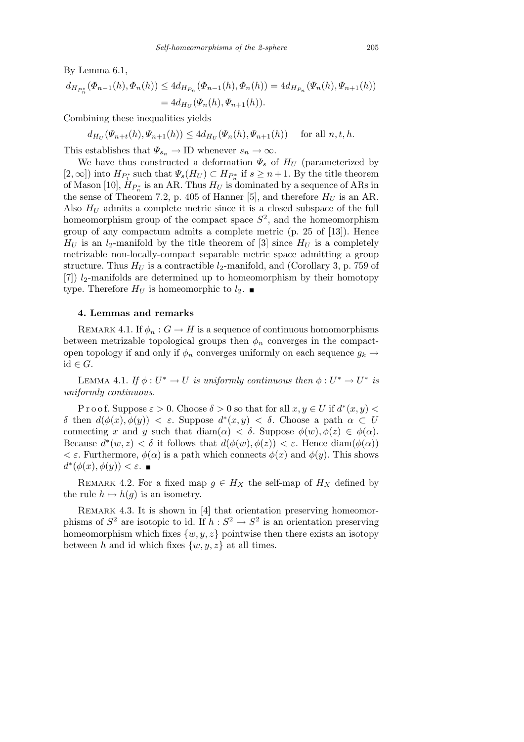By Lemma 6.1,

$$
d_{H_{P_n^*}}(\Phi_{n-1}(h), \Phi_n(h)) \leq 4d_{H_{P_n}}(\Phi_{n-1}(h), \Phi_n(h)) = 4d_{H_{P_n}}(\Psi_n(h), \Psi_{n+1}(h))
$$
  
=  $4d_{H_U}(\Psi_n(h), \Psi_{n+1}(h)).$ 

Combining these inequalities yields

$$
d_{H_U}(\Psi_{n+t}(h), \Psi_{n+1}(h)) \le 4d_{H_U}(\Psi_n(h), \Psi_{n+1}(h)) \quad \text{ for all } n, t, h.
$$

This establishes that  $\Psi_{s_n} \to \text{ID}$  whenever  $s_n \to \infty$ .

We have thus constructed a deformation  $\Psi_s$  of  $H_U$  (parameterized by  $[P_1, \infty]$  into  $H_{P_1^*}$  such that  $\Psi_s(H_U) \subset H_{P_n^*}$  if  $s \geq n+1$ . By the title theorem of Mason [10],  $\dot{H}_{P_n^*}$  is an AR. Thus  $H_U$  is dominated by a sequence of ARs in the sense of Theorem 7.2, p. 405 of Hanner [5], and therefore  $H_U$  is an AR. Also  $H_U$  admits a complete metric since it is a closed subspace of the full homeomorphism group of the compact space  $S^2$ , and the homeomorphism group of any compactum admits a complete metric (p. 25 of [13]). Hence  $H_U$  is an *l*<sub>2</sub>-manifold by the title theorem of [3] since  $H_U$  is a completely metrizable non-locally-compact separable metric space admitting a group structure. Thus  $H_U$  is a contractible  $l_2$ -manifold, and (Corollary 3, p. 759 of [7])  $l_2$ -manifolds are determined up to homeomorphism by their homotopy type. Therefore  $H_U$  is homeomorphic to  $l_2$ .

## **4. Lemmas and remarks**

REMARK 4.1. If  $\phi_n : G \to H$  is a sequence of continuous homomorphisms between metrizable topological groups then  $\phi_n$  converges in the compactopen topology if and only if  $\phi_n$  converges uniformly on each sequence  $g_k \rightarrow$ id *∈ G*.

LEMMA 4.1. *If*  $\phi: U^* \to U$  *is uniformly continuous then*  $\phi: U^* \to U^*$  *is uniformly continuous.*

Proof. Suppose  $\varepsilon > 0$ . Choose  $\delta > 0$  so that for all  $x, y \in U$  if  $d^*(x, y) <$ *δ* then  $d(\phi(x), \phi(y)) < \varepsilon$ . Suppose  $d^*(x, y) < \delta$ . Choose a path  $\alpha \subset U$ connecting *x* and *y* such that  $\text{diam}(\alpha) < \delta$ . Suppose  $\phi(w), \phi(z) \in \phi(\alpha)$ . Because  $d^*(w, z) < \delta$  it follows that  $d(\phi(w), \phi(z)) < \varepsilon$ . Hence diam $(\phi(\alpha))$ *< ε*. Furthermore, *φ*(*α*) is a path which connects *φ*(*x*) and *φ*(*y*). This shows *d*<sup>\*</sup>( $\phi$ (*x*)*,* $\phi$ (*y*)) < *ε*.

REMARK 4.2. For a fixed map  $g \in H_X$  the self-map of  $H_X$  defined by the rule  $h \mapsto h(g)$  is an isometry.

REMARK 4.3. It is shown in [4] that orientation preserving homeomorphisms of  $S^2$  are isotopic to id. If  $h: S^2 \to S^2$  is an orientation preserving homeomorphism which fixes  $\{w, y, z\}$  pointwise then there exists an isotopy between *h* and id which fixes  $\{w, y, z\}$  at all times.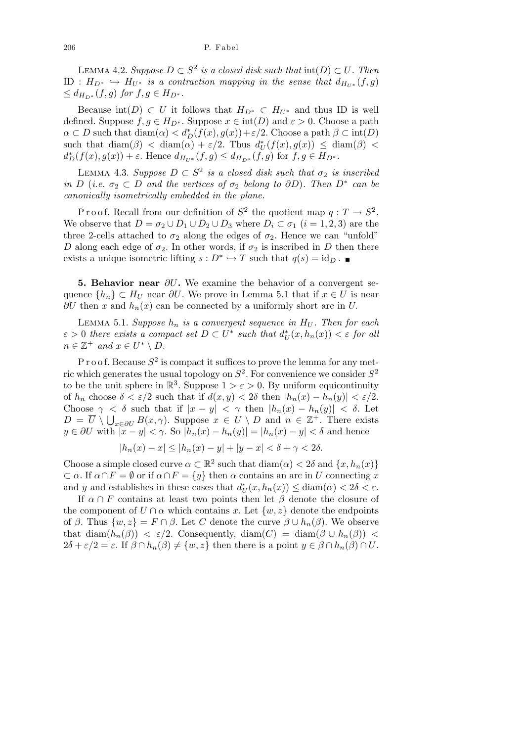$L$ **EMMA** 4.2. *Suppose*  $D \subset S^2$  *is a closed disk such that*  $\text{int}(D) \subset U$ *. Then* ID :  $H_{D^*}$  →  $H_{U^*}$  *is a contraction mapping in the sense that*  $d_{H_{U^*}}(f,g)$  $\leq d_{H_{D^*}}(f,g)$  *for*  $f,g \in H_{D^*}$ .

Because  $int(D) \subset U$  it follows that  $H_{D^*} \subset H_{U^*}$  and thus ID is well defined. Suppose  $f, g \in H_{D^*}$ . Suppose  $x \in \text{int}(D)$  and  $\varepsilon > 0$ . Choose a path  $\alpha \subset D$  such that  $\text{diam}(\alpha) < d_D^*(f(x), g(x)) + \varepsilon/2$ . Choose a path  $\beta \subset \text{int}(D)$ such that  $\text{diam}(\beta) < \text{diam}(\alpha) + \varepsilon/2$ . Thus  $d^*_{U}(f(x), g(x)) \leq \text{diam}(\beta)$  $d_D^*(f(x), g(x)) + \varepsilon$ . Hence  $d_{H_{U^*}}(f, g) \leq d_{H_{D^*}}(f, g)$  for  $f, g \in H_{D^*}$ .

LEMMA 4.3. *Suppose*  $D \subset S^2$  *is a closed disk such that*  $\sigma_2$  *is inscribed in*  $D$  (*i.e.*  $\sigma_2 \subset D$  *and the vertices of*  $\sigma_2$  *belong to*  $\partial D$ *). Then*  $D^*$  *can be canonically isometrically embedded in the plane.*

Proof. Recall from our definition of  $S^2$  the quotient map  $q: T \to S^2$ . We observe that  $D = \sigma_2 \cup D_1 \cup D_2 \cup D_3$  where  $D_i \subset \sigma_1$   $(i = 1, 2, 3)$  are the three 2-cells attached to  $\sigma_2$  along the edges of  $\sigma_2$ . Hence we can "unfold" *D* along each edge of  $\sigma_2$ . In other words, if  $\sigma_2$  is inscribed in *D* then there exists a unique isometric lifting  $s: D^* \hookrightarrow T$  such that  $q(s) = id_D$ .

**5. Behavior near** *∂U***.** We examine the behavior of a convergent sequence  ${h_n} \subset H_U$  near  $\partial U$ . We prove in Lemma 5.1 that if  $x \in U$  is near *∂U* then *x* and  $h_n(x)$  can be connected by a uniformly short arc in *U*.

LEMMA 5.1. *Suppose*  $h_n$  *is a convergent sequence in*  $H_U$ . Then for each  $\varepsilon > 0$  *there exists a compact set*  $D \subset U^*$  *such that*  $d^*_{U}(x, h_n(x)) < \varepsilon$  *for all*  $n \in \mathbb{Z}^+$  and  $x \in U^* \setminus D$ .

 $P$  r o o f. Because  $S^2$  is compact it suffices to prove the lemma for any metric which generates the usual topology on *S* 2 . For convenience we consider *S* 2 to be the unit sphere in  $\mathbb{R}^3$ . Suppose  $1 > \varepsilon > 0$ . By uniform equicontinuity of  $h_n$  choose  $\delta < \varepsilon/2$  such that if  $d(x, y) < 2\delta$  then  $|h_n(x) - h_n(y)| < \varepsilon/2$ . Choose  $\gamma < \delta$  such that if  $|x - y| < \gamma$  then  $|h_n(x) - h_n(y)| < \delta$ . Let  $D = \overline{U} \setminus \bigcup_{x \in \partial U} B(x, \gamma)$ . Suppose  $x \in U \setminus D$  and  $n \in \mathbb{Z}^+$ . There exists  $y \in \partial U$  with  $|x - y| < \gamma$ . So  $|h_n(x) - h_n(y)| = |h_n(x) - y| < \delta$  and hence

$$
|h_n(x) - x| \le |h_n(x) - y| + |y - x| < \delta + \gamma < 2\delta.
$$

Choose a simple closed curve  $\alpha \subset \mathbb{R}^2$  such that  $\text{diam}(\alpha) < 2\delta$  and  $\{x, h_n(x)\}\$  $\subset \alpha$ . If  $\alpha \cap F = \emptyset$  or if  $\alpha \cap F = \{y\}$  then  $\alpha$  contains an arc in *U* connecting *x* and *y* and establishes in these cases that  $d_U^*(x, h_n(x)) \leq \text{diam}(\alpha) < 2\delta < \varepsilon$ .

If  $\alpha \cap F$  contains at least two points then let  $\beta$  denote the closure of the component of  $U \cap \alpha$  which contains *x*. Let  $\{w, z\}$  denote the endpoints of  $\beta$ . Thus  $\{w, z\} = F \cap \beta$ . Let C denote the curve  $\beta \cup h_n(\beta)$ . We observe that  $\text{diam}(h_n(\beta)) < \varepsilon/2$ . Consequently,  $\text{diam}(C) = \text{diam}(\beta \cup h_n(\beta))$  $2\delta + \varepsilon/2 = \varepsilon$ . If  $\beta \cap h_n(\beta) \neq \{w, z\}$  then there is a point  $y \in \beta \cap h_n(\beta) \cap U$ .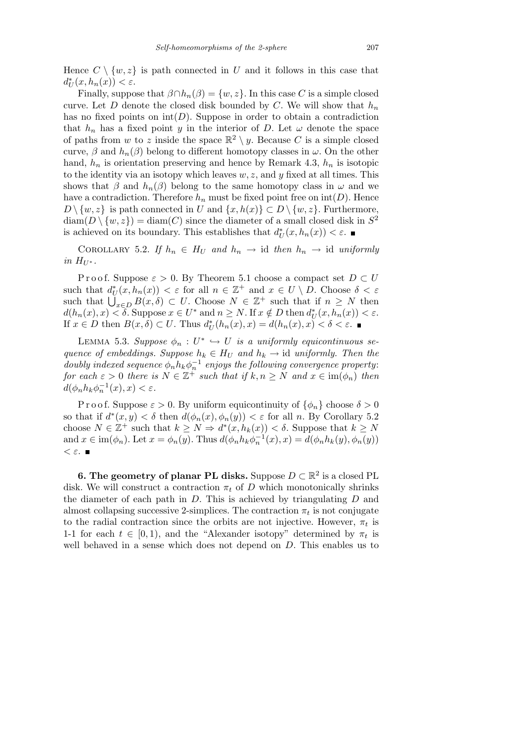Hence  $C \setminus \{w, z\}$  is path connected in U and it follows in this case that  $d_U^*(x, h_n(x)) < \varepsilon$ .

Finally, suppose that  $\beta \cap h_n(\beta) = \{w, z\}$ . In this case *C* is a simple closed curve. Let *D* denote the closed disk bounded by *C*. We will show that  $h_n$ has no fixed points on  $\text{int}(D)$ . Suppose in order to obtain a contradiction that  $h_n$  has a fixed point *y* in the interior of *D*. Let  $\omega$  denote the space of paths from *w* to *z* inside the space  $\mathbb{R}^2 \setminus y$ . Because *C* is a simple closed curve,  $\beta$  and  $h_n(\beta)$  belong to different homotopy classes in  $\omega$ . On the other hand,  $h_n$  is orientation preserving and hence by Remark 4.3,  $h_n$  is isotopic to the identity via an isotopy which leaves  $w, z$ , and  $y$  fixed at all times. This shows that  $\beta$  and  $h_n(\beta)$  belong to the same homotopy class in  $\omega$  and we have a contradiction. Therefore  $h_n$  must be fixed point free on  $\text{int}(D)$ . Hence *D*  $\setminus \{w, z\}$  is path connected in *U* and  $\{x, h(x)\}$  ⊂ *D*  $\setminus \{w, z\}$ . Furthermore,  $\text{diam}(D \setminus \{w, z\}) = \text{diam}(C)$  since the diameter of a small closed disk in  $S^2$ is achieved on its boundary. This establishes that  $d^*_{U}(x, h_n(x)) < \varepsilon$ .

COROLLARY 5.2. If  $h_n \in H_U$  and  $h_n \to \text{id}$  then  $h_n \to \text{id}$  uniformly *in*  $H_{U^*}$ .

Proof. Suppose  $\varepsilon > 0$ . By Theorem 5.1 choose a compact set  $D \subset U$ such that  $d^*_{U}(x, h_n(x)) < \varepsilon$  for all  $n \in \mathbb{Z}^+$  and  $x \in U \setminus D$ . Choose  $\delta < \varepsilon$ such that  $d_U(x, n_n(x)) < \varepsilon$  for an  $n \in \mathbb{Z}^+$  and  $x \in U \setminus D$ . Choose  $0 < \varepsilon$ <br>such that  $\bigcup_{x \in D} B(x, \delta) \subset U$ . Choose  $N \in \mathbb{Z}^+$  such that if  $n \geq N$  then  $d(h_n(x),x) < \delta$ . Suppose  $x \in U^*$  and  $n \ge N$ . If  $x \notin D$  then  $d_U^*(x, h_n(x)) < \varepsilon$ . If  $x \in D$  then  $B(x, \delta) \subset U$ . Thus  $d^*_{U}(h_n(x), x) = d(h_n(x), x) < \delta < \varepsilon$ .

LEMMA 5.3. *Suppose*  $\phi_n : U^* \hookrightarrow U$  *is a uniformly equicontinuous sequence of embeddings. Suppose*  $h_k \in H_U$  *and*  $h_k \to id$  *uniformly. Then the doubly indexed sequence*  $\phi_n h_k \phi_n^{-1}$  *enjoys the following convergence property: for each*  $\varepsilon > 0$  *there is*  $N \in \mathbb{Z}^+$  *such that if*  $k, n \geq N$  *and*  $x \in \text{im}(\phi_n)$  *then*  $d(\phi_n h_k \phi_n^{-1}(x), x) < \varepsilon$ .

P r o o f. Suppose  $\varepsilon > 0$ . By uniform equicontinuity of  $\{\phi_n\}$  choose  $\delta > 0$ so that if  $d^*(x, y) < \delta$  then  $d(\phi_n(x), \phi_n(y)) < \varepsilon$  for all *n*. By Corollary 5.2 choose  $N \in \mathbb{Z}^+$  such that  $k \geq N \Rightarrow d^*(x, h_k(x)) < \delta$ . Suppose that  $k \geq N$ and  $x \in \text{im}(\phi_n)$ . Let  $x = \phi_n(y)$ . Thus  $d(\phi_n h_k \phi_n^{-1}(x), x) = d(\phi_n h_k(y), \phi_n(y))$ *< ε.*

**6. The geometry of planar PL disks.** Suppose  $D \subset \mathbb{R}^2$  is a closed PL disk. We will construct a contraction  $\pi_t$  of *D* which monotonically shrinks the diameter of each path in *D.* This is achieved by triangulating *D* and almost collapsing successive 2-simplices. The contraction  $\pi_t$  is not conjugate to the radial contraction since the orbits are not injective. However,  $\pi_t$  is 1-1 for each  $t \in [0, 1)$ , and the "Alexander isotopy" determined by  $\pi_t$  is well behaved in a sense which does not depend on *D*. This enables us to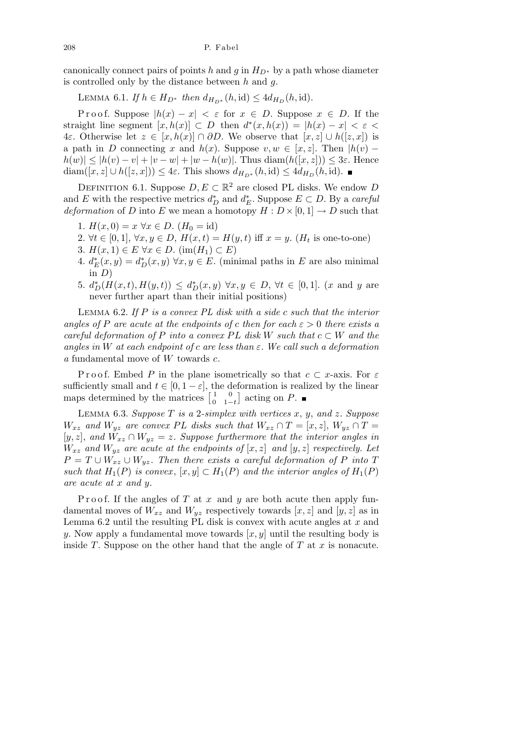canonically connect pairs of points *h* and *g* in  $H_{D^*}$  by a path whose diameter is controlled only by the distance between *h* and *g.*

LEMMA 6.1. *If*  $h \in H_{D^*}$  *then*  $d_{H_{D^*}}(h, id) \leq 4d_{H_D}(h, id)$ .

Proof. Suppose  $|h(x) - x| < \varepsilon$  for  $x \in D$ . Suppose  $x \in D$ . If the straight line segment  $[x, h(x)] \subset D$  then  $d^*(x, h(x)) = |h(x) - x| < \varepsilon$ 4*ε*. Otherwise let *z ∈* [*x, h*(*x*)] *∩ ∂D*. We observe that [*x, z*] *∪ h*([*z, x*]) is a path in *D* connecting *x* and  $h(x)$ . Suppose  $v, w \in [x, z]$ . Then  $|h(v) |h(w)| \leq |h(v) - v| + |v - w| + |w - h(w)|$ . Thus diam $(h([x, z])) \leq 3\varepsilon$ . Hence diam([x, z] ∪  $h([z, x])$ ) ≤ 4 $\varepsilon$ . This shows  $d_{H_{D^*}}(h, id)$  ≤  $4d_{H_D}(h, id)$ . ■

DEFINITION 6.1. Suppose  $D, E \subset \mathbb{R}^2$  are closed PL disks. We endow *D* and *E* with the respective metrics  $d_D^*$  and  $d_E^*$ . Suppose  $E \subset D$ . By a *careful deformation* of *D* into *E* we mean a homotopy  $H: D \times [0,1] \rightarrow D$  such that

- 1.  $H(x, 0) = x \ \forall x \in D$ .  $(H_0 = id)$
- 2.  $∀t ∈ [0, 1], ∀x, y ∈ D, H(x, t) = H(y, t)$  iff  $x = y$ . ( $H_t$  is one-to-one)
- 3. *H*(*x*, 1) ∈ *E*  $\forall x \in D$ . (im(*H*<sub>1</sub>) ⊂ *E*)
- 4.  $d_E^*(x, y) = d_D^*(x, y) \,\forall x, y \in E$ . (minimal paths in *E* are also minimal in  $D$ )
- 5.  $d_D^*(H(x,t), H(y,t)) \leq d_D^*(x,y) \,\forall x, y \in D, \,\forall t \in [0,1].$  (x and y are never further apart than their initial positions)

Lemma 6.2. *If P is a convex PL disk with a side c such that the interior angles of P* are acute at the endpoints of c then for each  $\varepsilon > 0$  there exists a  $c$ *careful deformation of*  $P$  *into a convex*  $PL$  *disk*  $W$  *such that*  $c \subset W$  *and the angles in W at each endpoint of c are less than ε. We call such a deformation a* fundamental move of *W* towards *c.*

Proof. Embed P in the plane isometrically so that  $c \subset x$ -axis. For  $\varepsilon$ sufficiently small and  $t \in [0, 1 - \varepsilon]$ , the deformation is realized by the linear sumciently small and  $t \in [0, 1 - \varepsilon],$ <br>maps determined by the matrices  $\lceil$  1 0  $\begin{bmatrix} 1 & 0 \\ 0 & 1-t \end{bmatrix}$  acting on *P*.

Lemma 6.3. *Suppose T is a* 2*-simplex with vertices x*, *y*, *and z. Suppose W<sub>xz</sub>* and  $W_{yz}$  are convex PL disks such that  $W_{xz} \cap T = [x, z]$ ,  $W_{yz} \cap T =$  $[y, z]$ , and  $W_{xz} \cap W_{yz} = z$ *. Suppose furthermore that the interior angles in*  $W_{xz}$  *and*  $W_{yz}$  *are acute at the endpoints of*  $[x, z]$  *and*  $[y, z]$  *respectively. Let*  $P = T \cup W_{xz} \cup W_{yz}$ *. Then there exists a careful deformation of P into T such that*  $H_1(P)$  *is convex*,  $[x, y] \subset H_1(P)$  *and the interior angles of*  $H_1(P)$ *are acute at x and y.*

P roof. If the angles of *T* at *x* and *y* are both acute then apply fundamental moves of  $W_{xz}$  and  $W_{yz}$  respectively towards  $[x, z]$  and  $[y, z]$  as in Lemma 6.2 until the resulting PL disk is convex with acute angles at *x* and *y*. Now apply a fundamental move towards [*x, y*] until the resulting body is inside *T*. Suppose on the other hand that the angle of *T* at *x* is nonacute.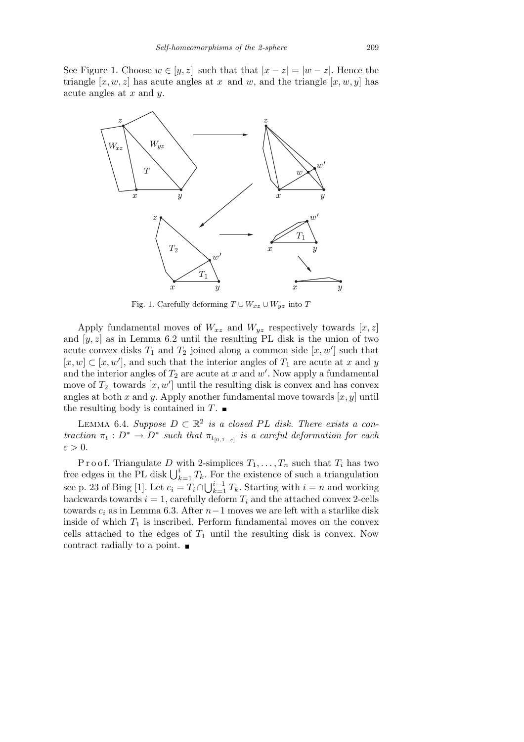See Figure 1. Choose  $w \in [y, z]$  such that that  $|x - z| = |w - z|$ . Hence the triangle  $[x, w, z]$  has acute angles at  $x$  and  $w$ , and the triangle  $[x, w, y]$  has acute angles at *x* and *y.*



Fig. 1. Carefully deforming  $T \cup W_{xz} \cup W_{yz}$  into  $T$ 

Apply fundamental moves of  $W_{xz}$  and  $W_{yz}$  respectively towards  $[x, z]$ and  $[y, z]$  as in Lemma 6.2 until the resulting PL disk is the union of two acute convex disks  $T_1$  and  $T_2$  joined along a common side  $[x, w']$  such that  $[x, w] \subset [x, w']$ , and such that the interior angles of  $T_1$  are acute at *x* and *y* and the interior angles of  $T_2$  are acute at  $x$  and  $w'$ . Now apply a fundamental move of  $T_2$  towards  $[x, w']$  until the resulting disk is convex and has convex angles at both *x* and *y*. Apply another fundamental move towards [*x, y*] until the resulting body is contained in  $T$ .

LEMMA 6.4. Suppose  $D ⊂ \mathbb{R}^2$  is a closed PL disk. There exists a con*traction*  $\pi_t : D^* \to D^*$  *such that*  $\pi_{t_{[0,1-\varepsilon]}}$  *is a careful deformation for each ε >* 0*.*

P r o o f. Triangulate D with 2-simplices  $T_1, \ldots, T_n$  such that  $T_i$  has two F FOOT. Triangulate D with 2-simplices  $I_1, \ldots, I_n$  such that  $I_i$  has two<br>free edges in the PL disk  $\bigcup_{k=1}^i T_k$ . For the existence of such a triangulation see p. 23 of Bing [1]. Let  $c_i = T_i \cap \bigcup_{k=1}^{i-1} I_k$ .  $\sum_{k=1}^{i-1} T_k$ . Starting with  $i = n$  and working backwards towards  $i = 1$ , carefully deform  $T_i$  and the attached convex 2-cells towards *c<sup>i</sup>* as in Lemma 6.3. After *n−*1 moves we are left with a starlike disk inside of which  $T_1$  is inscribed. Perform fundamental moves on the convex cells attached to the edges of  $T_1$  until the resulting disk is convex. Now contract radially to a point.  $\blacksquare$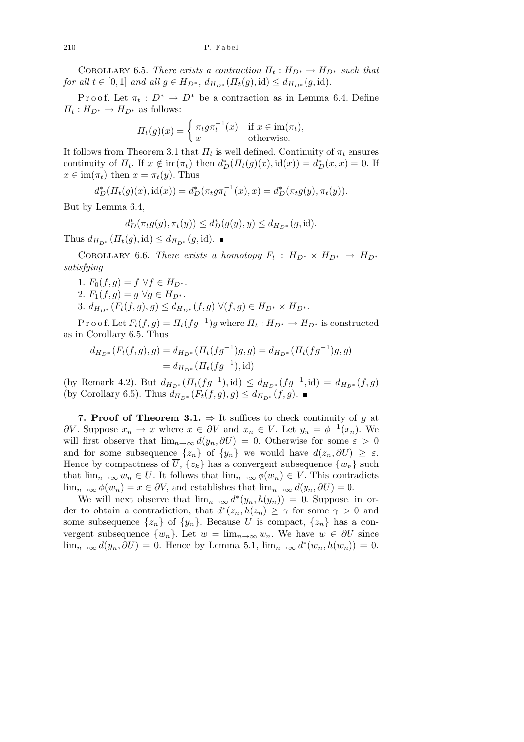COROLLARY 6.5. *There exists a contraction*  $\Pi_t : H_{D^*} \to H_{D^*}$  such that for all  $t \in [0,1]$  and all  $g \in H_{D^*}, d_{H_{D^*}}(\Pi_t(g), id) \leq d_{H_{D^*}}(g, id)$ .

Proof. Let  $\pi_t : D^* \to D^*$  be a contraction as in Lemma 6.4. Define  $\Pi_t: H_{D^*} \to H_{D^*}$  as follows:

$$
\Pi_t(g)(x) = \begin{cases} \pi_t g \pi_t^{-1}(x) & \text{if } x \in \text{im}(\pi_t), \\ x & \text{otherwise.} \end{cases}
$$

It follows from Theorem 3.1 that  $\Pi_t$  is well defined. Continuity of  $\pi_t$  ensures continuity of  $\Pi_t$ . If  $x \notin \text{im}(\pi_t)$  then  $d_D^*(\Pi_t(g)(x), \text{id}(x)) = d_D^*(x, x) = 0$ . If  $x \in \text{im}(\pi_t)$  then  $x = \pi_t(y)$ . Thus

$$
d_D^*(\Pi_t(g)(x), id(x)) = d_D^*(\pi_t g \pi_t^{-1}(x), x) = d_D^*(\pi_t g(y), \pi_t(y)).
$$

But by Lemma 6.4,

$$
d_D^*(\pi_t g(y), \pi_t(y)) \le d_D^*(g(y), y) \le d_{H_{D^*}}(g, \text{id}).
$$

Thus  $d_{H_{D^*}}(H_t(g), id) \leq d_{H_{D^*}}(g, id)$ . ■

COROLLARY 6.6. *There exists a homotopy*  $F_t$  :  $H_{D^*} \times H_{D^*} \rightarrow H_{D^*}$ *satisfying*

1*.*  $F_0(f, g) = f \ \forall f \in H_{D^*}.$ 

2*.*  $F_1(f, g) = g \ \forall g \in H_{D^*}.$ 

3.  $d_{H_{D^*}}(F_t(f,g),g) \leq d_{H_{D^*}}(f,g) \ \forall (f,g) \in H_{D^*} \times H_{D^*}.$ 

 $P$ r o o f. Let  $F_t(f,g) = \prod_t (fg^{-1})g$  where  $\Pi_t : H_{D^*} \to H_{D^*}$  is constructed as in Corollary 6.5. Thus

$$
d_{H_{D^*}}(F_t(f,g),g) = d_{H_{D^*}}(\Pi_t(fg^{-1})g,g) = d_{H_{D^*}}(\Pi_t(fg^{-1})g,g)
$$
  
=  $d_{H_{D^*}}(\Pi_t(fg^{-1}),id)$ 

(by Remark 4.2). But  $d_{H_{D^*}}(H_t(fg^{-1}), id) \leq d_{H_{D^*}}(fg^{-1}, id) = d_{H_{D^*}}(f, g)$ (by Corollary 6.5). Thus  $d_{H_{D^*}}(F_t(f,g), g) \le d_{H_{D^*}}(f,g)$ . ■

**7. Proof of Theorem 3.1.**  $\Rightarrow$  It suffices to check continuity of  $\overline{g}$  at *∂V*. Suppose  $x_n$  → *x* where  $x \in \partial V$  and  $x_n \in V$ . Let  $y_n = \phi^{-1}(x_n)$ . We will first observe that  $\lim_{n\to\infty} d(y_n, \partial U) = 0$ . Otherwise for some  $\varepsilon > 0$ and for some subsequence  $\{z_n\}$  of  $\{y_n\}$  we would have  $d(z_n, \partial U) \geq \varepsilon$ . Hence by compactness of  $\overline{U}$ ,  $\{z_k\}$  has a convergent subsequence  $\{w_n\}$  such that  $\lim_{n\to\infty} w_n \in U$ . It follows that  $\lim_{n\to\infty} \phi(w_n) \in V$ . This contradicts  $\lim_{n\to\infty}\phi(w_n)=x\in\partial V$ , and establishes that  $\lim_{n\to\infty}d(y_n,\partial U)=0$ .

We will next observe that  $\lim_{n\to\infty} d^*(y_n, h(y_n)) = 0$ . Suppose, in order to obtain a contradiction, that  $d^*(z_n, h(z_n) \geq \gamma$  for some  $\gamma > 0$  and some subsequence  $\{z_n\}$  of  $\{y_n\}$ . Because  $\overline{U}$  is compact,  $\{z_n\}$  has a convergent subsequence  $\{w_n\}$ . Let  $w = \lim_{n \to \infty} w_n$ . We have  $w \in \partial U$  since lim<sub>*n*→∞</sub>  $d(y_n, \partial U) = 0$ . Hence by Lemma 5.1, lim<sub>*n*→∞</sub>  $d^*(w_n, h(w_n)) = 0$ .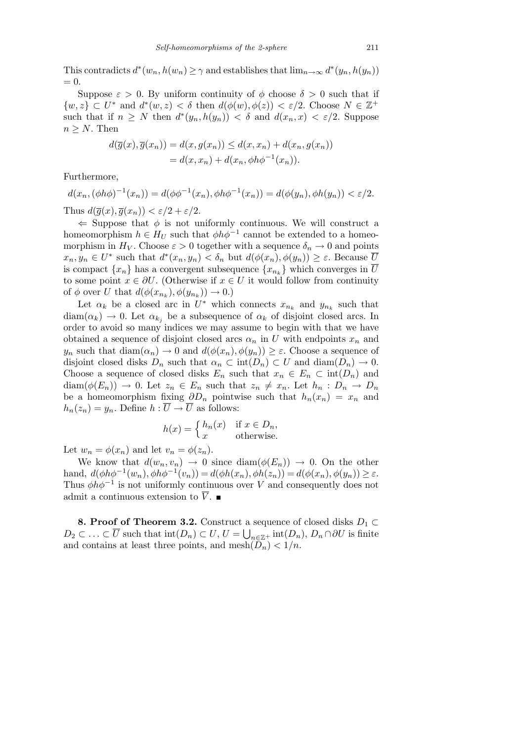This contradicts  $d^*(w_n, h(w_n) \geq \gamma$  and establishes that  $\lim_{n\to\infty} d^*(y_n, h(y_n))$  $= 0.$ 

Suppose  $\varepsilon > 0$ . By uniform continuity of  $\phi$  choose  $\delta > 0$  such that if  $\{w, z\} \subset U^*$  and  $d^*(w, z) < \delta$  then  $d(\phi(w), \phi(z)) < \varepsilon/2$ . Choose  $N \in \mathbb{Z}^+$ such that if  $n \geq N$  then  $d^*(y_n, h(y_n)) < \delta$  and  $d(x_n, x) < \varepsilon/2$ . Suppose  $n \geq N$ . Then

$$
d(\overline{g}(x), \overline{g}(x_n)) = d(x, g(x_n)) \le d(x, x_n) + d(x_n, g(x_n))
$$
  
= 
$$
d(x, x_n) + d(x_n, \phi h \phi^{-1}(x_n)).
$$

Furthermore,

 $d(x_n, (\phi h\phi)^{-1}(x_n)) = d(\phi \phi^{-1}(x_n), \phi h\phi^{-1}(x_n)) = d(\phi(y_n), \phi h(y_n)) < \varepsilon/2.$ Thus  $d(\overline{q}(x), \overline{q}(x_n)) < \varepsilon/2 + \varepsilon/2$ .

 $\Leftarrow$  Suppose that  $\phi$  is not uniformly continuous. We will construct a homeomorphism  $h \in H_U$  such that  $\phi h \phi^{-1}$  cannot be extended to a homeomorphism in  $H_V$ . Choose  $\varepsilon > 0$  together with a sequence  $\delta_n \to 0$  and points  $x_n, y_n \in U^*$  such that  $d^*(x_n, y_n) < \delta_n$  but  $d(\phi(x_n), \phi(y_n)) \geq \varepsilon$ . Because  $\overline{U}$ is compact  $\{x_n\}$  has a convergent subsequence  $\{x_{n_k}\}$  which converges in  $\overline{U}$ to some point  $x \in \partial U$ . (Otherwise if  $x \in U$  it would follow from continuity of  $\phi$  over *U* that  $d(\phi(x_{n_k}), \phi(y_{n_k})) \to 0.$ 

Let  $\alpha_k$  be a closed arc in  $U^*$  which connects  $x_{n_k}$  and  $y_{n_k}$  such that  $\text{diam}(\alpha_k) \to 0$ . Let  $\alpha_{k_i}$  be a subsequence of  $\alpha_k$  of disjoint closed arcs. In order to avoid so many indices we may assume to begin with that we have obtained a sequence of disjoint closed arcs  $\alpha_n$  in *U* with endpoints  $x_n$  and *y<sub>n</sub>* such that  $\text{diam}(\alpha_n) \to 0$  and  $d(\phi(x_n), \phi(y_n)) \geq \varepsilon$ . Choose a sequence of disjoint closed disks  $D_n$  such that  $\alpha_n \subset \text{int}(D_n) \subset U$  and  $\text{diam}(D_n) \to 0$ . Choose a sequence of closed disks  $E_n$  such that  $x_n \in E_n \subset \text{int}(D_n)$  and diam( $\phi(E_n)$ )  $\rightarrow$  0. Let  $z_n \in E_n$  such that  $z_n \neq x_n$ . Let  $h_n : D_n \rightarrow D_n$ be a homeomorphism fixing  $\partial D_n$  pointwise such that  $h_n(x_n) = x_n$  and  $h_n(z_n) = y_n$ . Define  $h: \overline{U} \to \overline{U}$  as follows:

$$
h(x) = \begin{cases} h_n(x) & \text{if } x \in D_n, \\ x & \text{otherwise.} \end{cases}
$$

Let  $w_n = \phi(x_n)$  and let  $v_n = \phi(z_n)$ .

We know that  $d(w_n, v_n) \to 0$  since  $\text{diam}(\phi(E_n)) \to 0$ . On the other hand,  $d(\phi h \phi^{-1}(w_n), \phi h \phi^{-1}(v_n)) = d(\phi h(x_n), \phi h(z_n)) = d(\phi(x_n), \phi(y_n)) \ge \varepsilon$ . Thus  $\phi h \phi^{-1}$  is not uniformly continuous over *V* and consequently does not admit a continuous extension to  $\overline{V}$ .

**8. Proof of Theorem 3.2.** Construct a sequence of closed disks  $D_1 \subset \overline{D}$  $D_2 \subset \ldots \subset \overline{U}$  such that  $\text{int}(D_n) \subset U, U = \bigcup_{n \in \mathbb{Z}^+} \text{int}(D_n), D_n \cap \partial U$  is finite and contains at least three points, and mesh $(\bar{D}_n)$   $< 1/n$ .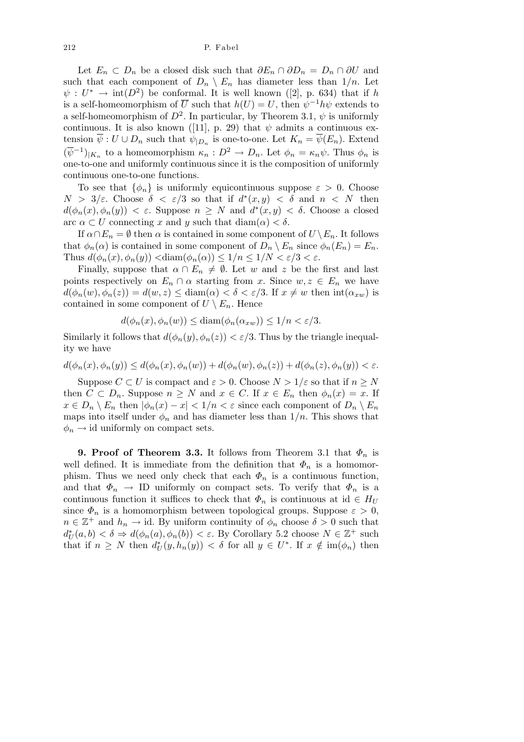Let  $E_n \subset D_n$  be a closed disk such that  $\partial E_n \cap \partial D_n = D_n \cap \partial U$  and such that each component of  $D_n \setminus E_n$  has diameter less than  $1/n$ . Let  $\psi: U^* \to \text{int}(D^2)$  be conformal. It is well known ([2], p. 634) that if *h* is a self-homeomorphism of  $\overline{U}$  such that  $h(U) = U$ , then  $\psi^{-1}h\psi$  extends to a self-homeomorphism of  $D^2$ . In particular, by Theorem 3.1,  $\psi$  is uniformly continuous. It is also known ([11], p. 29) that  $\psi$  admits a continuous extension  $\overline{\psi}: U \cup D_n$  such that  $\psi_{|D_n}$  is one-to-one. Let  $K_n = \overline{\psi}(E_n)$ . Extend  $(\overline{\psi}^{-1})_{|K_n}$  to a homeomorphism  $\kappa_n : D^2 \to D_n$ . Let  $\phi_n = \kappa_n \psi$ . Thus  $\phi_n$  is one-to-one and uniformly continuous since it is the composition of uniformly continuous one-to-one functions.

To see that  $\{\phi_n\}$  is uniformly equicontinuous suppose  $\varepsilon > 0$ . Choose *N* > 3/*ε*. Choose  $\delta < \varepsilon/3$  so that if  $d^*(x, y) < \delta$  and  $n < N$  then  $d(\phi_n(x), \phi_n(y)) < \varepsilon$ . Suppose  $n \geq N$  and  $d^*(x, y) < \delta$ . Choose a closed arc  $\alpha \subset U$  connecting *x* and *y* such that diam( $\alpha$ ) <  $\delta$ .

If  $\alpha \cap E_n = \emptyset$  then  $\alpha$  is contained in some component of  $U \setminus E_n$ . It follows that  $\phi_n(\alpha)$  is contained in some component of  $D_n \setminus E_n$  since  $\phi_n(E_n) = E_n$ . Thus  $d(\phi_n(x), \phi_n(y)) < \text{diam}(\phi_n(\alpha)) \leq 1/n \leq 1/N < \varepsilon/3 < \varepsilon$ .

Finally, suppose that  $\alpha \cap E_n \neq \emptyset$ . Let *w* and *z* be the first and last points respectively on  $E_n \cap \alpha$  starting from *x*. Since  $w, z \in E_n$  we have  $d(\phi_n(w), \phi_n(z)) = d(w, z) \leq \text{diam}(\alpha) < \delta < \varepsilon/3$ . If  $x \neq w$  then  $\text{int}(\alpha_{xw})$  is contained in some component of  $U \setminus E_n$ . Hence

$$
d(\phi_n(x), \phi_n(w)) \le \text{diam}(\phi_n(\alpha_{xw})) \le 1/n < \varepsilon/3.
$$

Similarly it follows that  $d(\phi_n(y), \phi_n(z)) < \varepsilon/3$ . Thus by the triangle inequality we have

$$
d(\phi_n(x), \phi_n(y)) \leq d(\phi_n(x), \phi_n(w)) + d(\phi_n(w), \phi_n(z)) + d(\phi_n(z), \phi_n(y)) < \varepsilon.
$$

Suppose  $C \subset U$  is compact and  $\varepsilon > 0$ . Choose  $N > 1/\varepsilon$  so that if  $n \geq N$ then  $C \subset D_n$ . Suppose  $n \geq N$  and  $x \in C$ . If  $x \in E_n$  then  $\phi_n(x) = x$ . If  $x \in D_n \setminus E_n$  then  $|\phi_n(x) - x| < 1/n < \varepsilon$  since each component of  $D_n \setminus E_n$ maps into itself under  $\phi_n$  and has diameter less than  $1/n$ . This shows that  $\phi_n \rightarrow$  id uniformly on compact sets.

**9. Proof of Theorem 3.3.** It follows from Theorem 3.1 that  $\Phi_n$  is well defined. It is immediate from the definition that  $\Phi_n$  is a homomorphism. Thus we need only check that each  $\Phi_n$  is a continuous function, and that  $\Phi_n \to \text{ID}$  uniformly on compact sets. To verify that  $\Phi_n$  is a continuous function it suffices to check that  $\Phi_n$  is continuous at id  $\in H_U$ since  $\Phi_n$  is a homomorphism between topological groups. Suppose  $\varepsilon > 0$ ,  $n \in \mathbb{Z}^+$  and  $h_n \to id$ . By uniform continuity of  $\phi_n$  choose  $\delta > 0$  such that  $d^*_{U}(a, b) < \delta \Rightarrow d(\phi_n(a), \phi_n(b)) < \varepsilon$ . By Corollary 5.2 choose  $N \in \mathbb{Z}^+$  such that if  $n \geq N$  then  $d^*_{U}(y, h_n(y)) < \delta$  for all  $y \in U^*$ . If  $x \notin \text{im}(\phi_n)$  then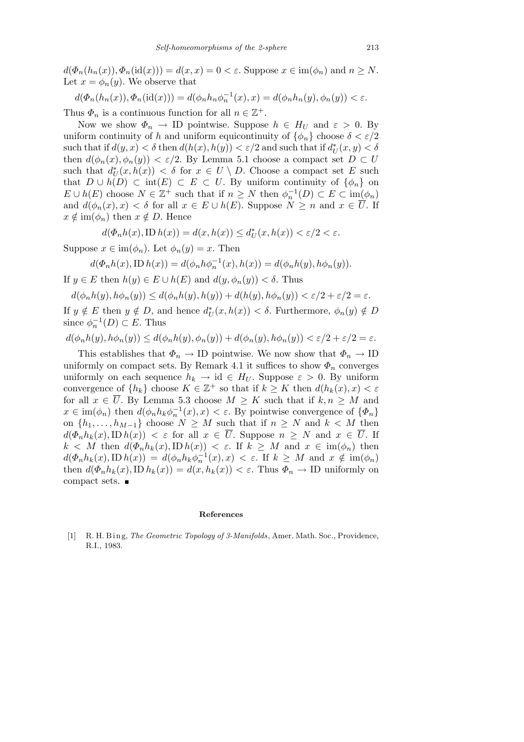$d(\Phi_n(h_n(x)), \Phi_n(\text{id}(x))) = d(x, x) = 0 < \varepsilon$ . Suppose  $x \in \text{im}(\phi_n)$  and  $n \geq N$ . Let  $x = \phi_n(y)$ . We observe that

$$
d(\Phi_n(h_n(x)), \Phi_n(\mathrm{id}(x))) = d(\phi_n h_n \phi_n^{-1}(x), x) = d(\phi_n h_n(y), \phi_n(y)) < \varepsilon.
$$

Thus  $\Phi_n$  is a continuous function for all  $n \in \mathbb{Z}^+$ .

Now we show  $\Phi_n \to \text{ID}$  pointwise. Suppose  $h \in H_U$  and  $\varepsilon > 0$ . By uniform continuity of *h* and uniform equicontinuity of  $\{\phi_n\}$  choose  $\delta < \varepsilon/2$  $\text{such that if } d(y, x) < \delta \text{ then } d(h(x), h(y)) < \varepsilon/2 \text{ and such that if } d^*_{U}(x, y) < \delta$ then  $d(\phi_n(x), \phi_n(y)) < \varepsilon/2$ . By Lemma 5.1 choose a compact set  $D \subset U$ such that  $d^*_{U}(x, h(x)) < \delta$  for  $x \in U \setminus D$ . Choose a compact set *E* such that  $D \cup h(D) \subset \text{int}(E) \subset E \subset U$ . By uniform continuity of  $\{\phi_n\}$  on  $E \cup h(E)$  choose  $N \in \mathbb{Z}^+$  such that if  $n \geq N$  then  $\phi_n^{-1}(D) \subset E \subset \text{im}(\phi_n)$ and  $d(\phi_n(x), x) < \delta$  for all  $x \in E \cup h(E)$ . Suppose  $N \geq n$  and  $x \in \overline{U}$ . If  $x \notin \text{im}(\phi_n)$  then  $x \notin D$ . Hence

$$
d(\Phi_n h(x), \text{ID } h(x)) = d(x, h(x)) \le d^*(x, h(x)) < \varepsilon/2 < \varepsilon.
$$

Suppose  $x \in \text{im}(\phi_n)$ . Let  $\phi_n(y) = x$ . Then

$$
d(\Phi_n h(x), \text{ID } h(x)) = d(\phi_n h \phi_n^{-1}(x), h(x)) = d(\phi_n h(y), h \phi_n(y)).
$$

If  $y \in E$  then  $h(y) \in E \cup h(E)$  and  $d(y, \phi_n(y)) < \delta$ . Thus

 $d(\phi_n h(y), h\phi_n(y)) \leq d(\phi_n h(y), h(y)) + d(h(y), h\phi_n(y)) < \varepsilon/2 + \varepsilon/2 = \varepsilon.$ 

If  $y \notin E$  then  $y \notin D$ , and hence  $d^*(x, h(x)) < \delta$ . Furthermore,  $\phi_n(y) \notin D$ since  $\phi_n^{-1}(D) \subset E$ . Thus

 $d(\phi_n h(y), h\phi_n(y)) \leq d(\phi_n h(y), \phi_n(y)) + d(\phi_n(y), h\phi_n(y)) < \varepsilon/2 + \varepsilon/2 = \varepsilon.$ 

This establishes that  $\Phi_n \to \text{ID}$  pointwise. We now show that  $\Phi_n \to \text{ID}$ uniformly on compact sets. By Remark 4.1 it suffices to show  $\Phi_n$  converges uniformly on each sequence  $h_k \to id \in H_U$ . Suppose  $\varepsilon > 0$ . By uniform convergence of  $\{h_k\}$  choose  $K \in \mathbb{Z}^+$  so that if  $k \geq K$  then  $d(h_k(x), x) < \varepsilon$ for all  $x \in \overline{U}$ . By Lemma 5.3 choose  $M \geq K$  such that if  $k, n \geq M$  and  $x \in \text{im}(\phi_n)$  then  $d(\phi_n h_k \phi_n^{-1}(x), x) < \varepsilon$ . By pointwise convergence of  $\{\Phi_n\}$ on  $\{h_1, \ldots, h_{M-1}\}$  choose  $N \geq M$  such that if  $n \geq N$  and  $k < M$  then  $d(\Phi_n h_k(x), \text{ID } h(x)) < \varepsilon$  for all  $x \in \overline{U}$ . Suppose  $n \geq N$  and  $x \in \overline{U}$ . If  $k < M$  then  $d(\Phi_n h_k(x), \text{ID } h(x)) < \varepsilon$ . If  $k \geq M$  and  $x \in \text{im}(\phi_n)$  then  $d(\Phi_n h_k(x), \text{ID } h(x)) = d(\phi_n h_k \phi_n^{-1}(x), x) < \varepsilon$ . If  $k \geq M$  and  $x \notin \text{im}(\phi_n)$ then  $d(\Phi_n h_k(x), \text{ID } h_k(x)) = d(x, h_k(x)) < \varepsilon$ . Thus  $\Phi_n \to \text{ID}$  uniformly on compact sets.

#### **References**

[1] R. H. Bing, *The Geometric Topology of 3-Manifolds*, Amer. Math. Soc., Providence, R.I., 1983.